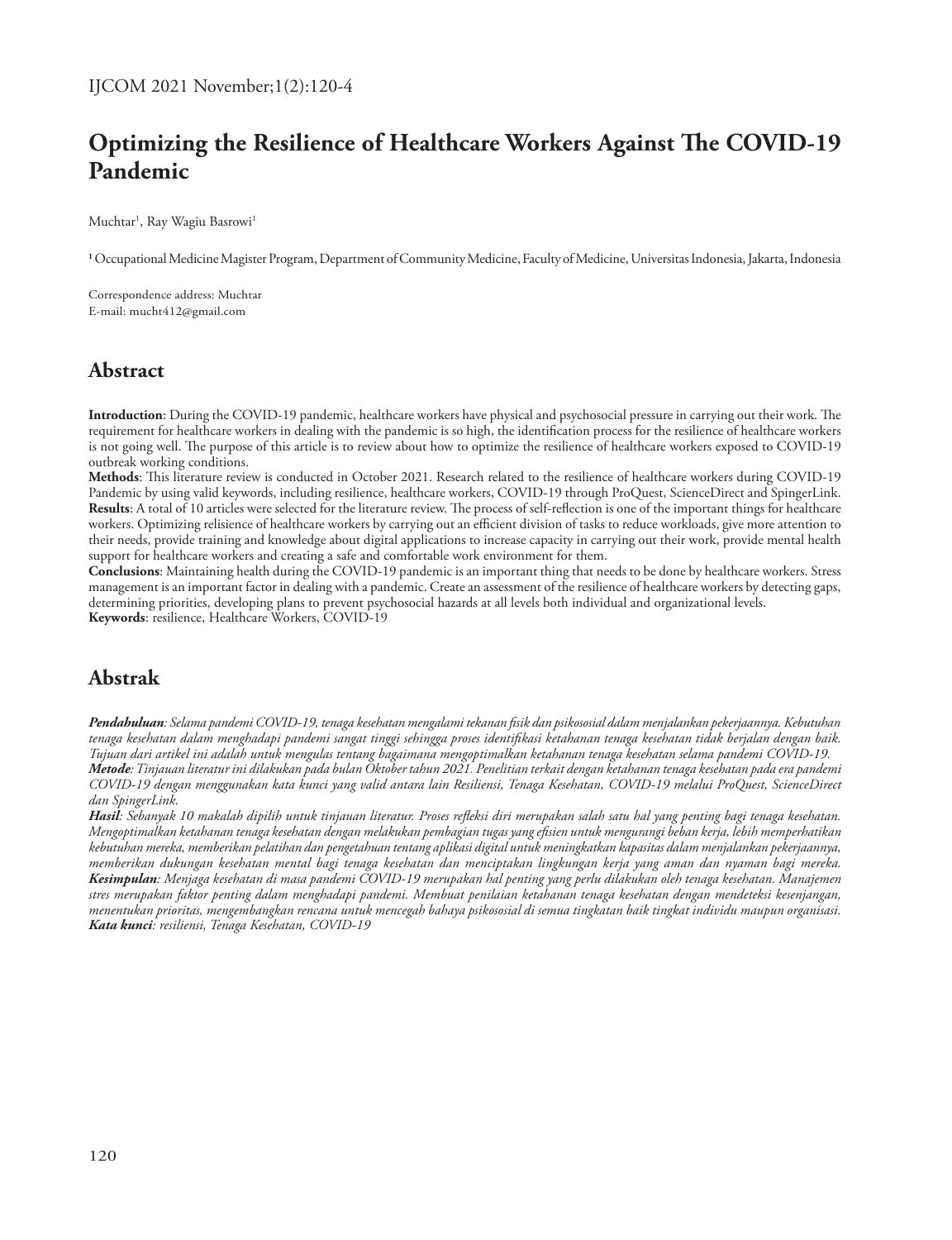# **Optimizing the Resilience of Healthcare Workers Against The COVID-19 Pandemic**

Muchtar<sup>ı</sup>, Ray Wagiu Basrowi<sup>ı</sup>

**1** Occupational Medicine Magister Program, Department of Community Medicine, Faculty of Medicine, Universitas Indonesia, Jakarta, Indonesia

Correspondence address: Muchtar E-mail: mucht412@gmail.com

# **Abstract**

**Introduction**: During the COVID-19 pandemic, healthcare workers have physical and psychosocial pressure in carrying out their work. The requirement for healthcare workers in dealing with the pandemic is so high, the identification process for the resilience of healthcare workers is not going well. The purpose of this article is to review about how to optimize the resilience of healthcare workers exposed to COVID-19 outbreak working conditions.

**Methods**: This literature review is conducted in October 2021. Research related to the resilience of healthcare workers during COVID-19 Pandemic by using valid keywords, including resilience, healthcare workers, COVID-19 through ProQuest, ScienceDirect and SpingerLink. **Results**: A total of 10 articles were selected for the literature review. The process of self-reflection is one of the important things for healthcare workers. Optimizing relisience of healthcare workers by carrying out an efficient division of tasks to reduce workloads, give more attention to their needs, provide training and knowledge about digital applications to increase capacity in carrying out their work, provide mental health support for healthcare workers and creating a safe and comfortable work environment for them.

**Conclusions**: Maintaining health during the COVID-19 pandemic is an important thing that needs to be done by healthcare workers. Stress management is an important factor in dealing with a pandemic. Create an assessment of the resilience of healthcare workers by detecting gaps, determining priorities, developing plans to prevent psychosocial hazards at all levels both individual and organizational levels. **Keywords**: resilience, Healthcare Workers, COVID-19

# **Abstrak**

*Pendahuluan: Selama pandemi COVID-19, tenaga kesehatan mengalami tekanan fisik dan psikososial dalam menjalankan pekerjaannya. Kebutuhan tenaga kesehatan dalam menghadapi pandemi sangat tinggi sehingga proses identifikasi ketahanan tenaga kesehatan tidak berjalan dengan baik. Tujuan dari artikel ini adalah untuk mengulas tentang bagaimana mengoptimalkan ketahanan tenaga kesehatan selama pandemi COVID-19. Metode:Tinjauan literatur ini dilakukan pada bulan Oktober tahun 2021. Penelitian terkait dengan ketahanan tenaga kesehatan pada era pandemi COVID-19 dengan menggunakan kata kunci yang valid antara lain Resiliensi, Tenaga Kesehatan, COVID-19 melalui ProQuest, ScienceDirect dan SpingerLink.*

*Hasil: Sebanyak 10 makalah dipilih untuk tinjauan literatur. Proses refleksi diri merupakan salah satu hal yang penting bagi tenaga kesehatan. Mengoptimalkan ketahanan tenaga kesehatan dengan melakukan pembagian tugas yang efisien untuk mengurangi beban kerja, lebih memperhatikan kebutuhan mereka, memberikan pelatihan dan pengetahuan tentang aplikasi digital untuk meningkatkan kapasitas dalam menjalankan pekerjaannya, memberikan dukungan kesehatan mental bagi tenaga kesehatan dan menciptakan lingkungan kerja yang aman dan nyaman bagi mereka. Kesimpulan: Menjaga kesehatan di masa pandemi COVID-19 merupakan hal penting yang perlu dilakukan oleh tenaga kesehatan. Manajemen stres merupakan faktor penting dalam menghadapi pandemi. Membuat penilaian ketahanan tenaga kesehatan dengan mendeteksi kesenjangan, menentukan prioritas, mengembangkan rencana untuk mencegah bahaya psikososial di semua tingkatan baik tingkat individu maupun organisasi. Kata kunci: resiliensi, Tenaga Kesehatan, COVID-19*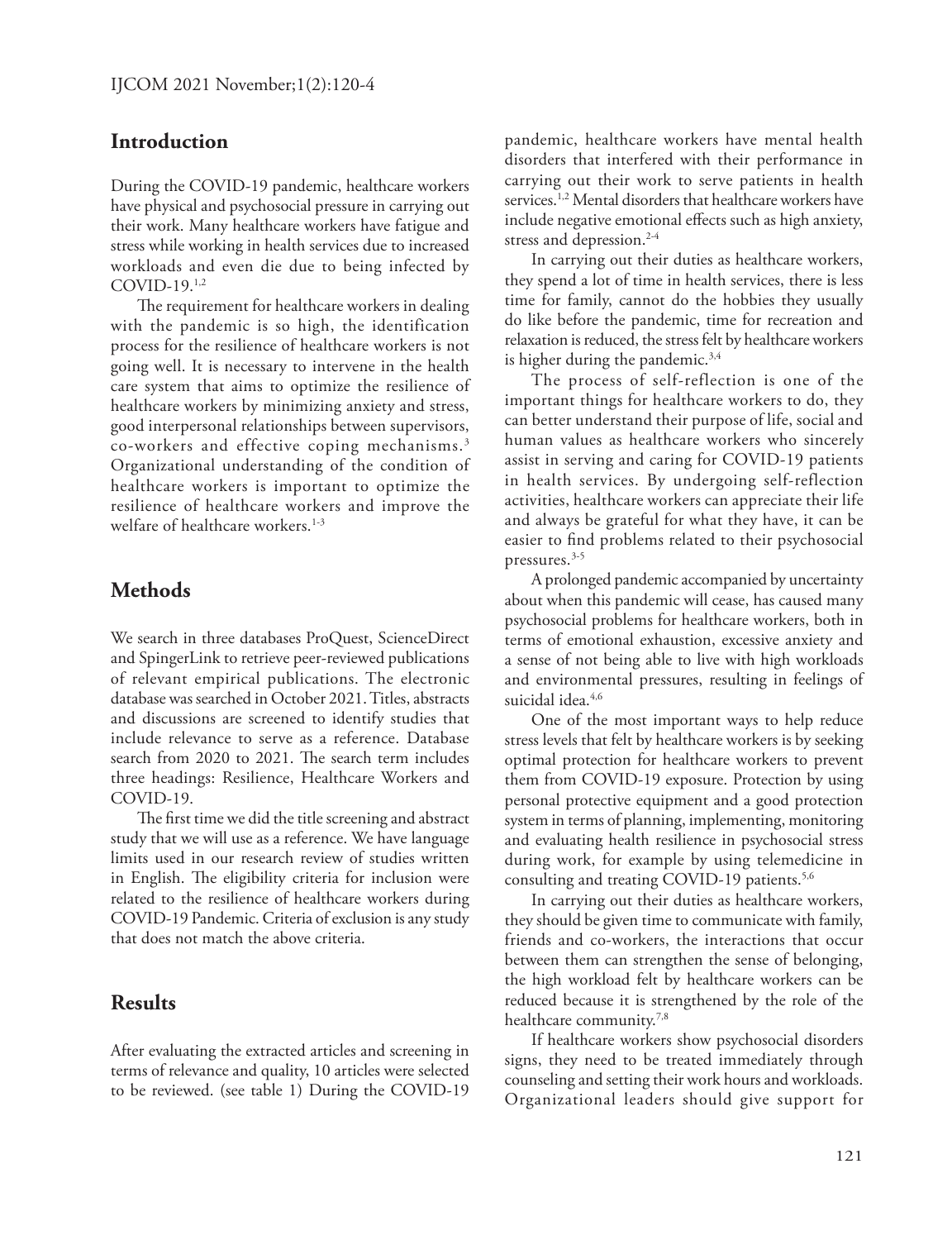#### **Introduction**

During the COVID-19 pandemic, healthcare workers have physical and psychosocial pressure in carrying out their work. Many healthcare workers have fatigue and stress while working in health services due to increased workloads and even die due to being infected by COVID-19.1,2

The requirement for healthcare workers in dealing with the pandemic is so high, the identification process for the resilience of healthcare workers is not going well. It is necessary to intervene in the health care system that aims to optimize the resilience of healthcare workers by minimizing anxiety and stress, good interpersonal relationships between supervisors, co-workers and effective coping mechanisms.3 Organizational understanding of the condition of healthcare workers is important to optimize the resilience of healthcare workers and improve the welfare of healthcare workers.<sup>1-3</sup>

#### **Methods**

We search in three databases ProQuest, ScienceDirect and SpingerLink to retrieve peer-reviewed publications of relevant empirical publications. The electronic database was searched in October 2021. Titles, abstracts and discussions are screened to identify studies that include relevance to serve as a reference. Database search from 2020 to 2021. The search term includes three headings: Resilience, Healthcare Workers and COVID-19.

The first time we did the title screening and abstract study that we will use as a reference. We have language limits used in our research review of studies written in English. The eligibility criteria for inclusion were related to the resilience of healthcare workers during COVID-19 Pandemic. Criteria of exclusion is any study that does not match the above criteria.

## **Results**

After evaluating the extracted articles and screening in terms of relevance and quality, 10 articles were selected to be reviewed. (see table 1) During the COVID-19 pandemic, healthcare workers have mental health disorders that interfered with their performance in carrying out their work to serve patients in health services.<sup>1,2</sup> Mental disorders that healthcare workers have include negative emotional effects such as high anxiety, stress and depression.<sup>2-4</sup>

In carrying out their duties as healthcare workers, they spend a lot of time in health services, there is less time for family, cannot do the hobbies they usually do like before the pandemic, time for recreation and relaxation is reduced, the stress felt by healthcare workers is higher during the pandemic.<sup>3,4</sup>

The process of self-reflection is one of the important things for healthcare workers to do, they can better understand their purpose of life, social and human values as healthcare workers who sincerely assist in serving and caring for COVID-19 patients in health services. By undergoing self-reflection activities, healthcare workers can appreciate their life and always be grateful for what they have, it can be easier to find problems related to their psychosocial pressures.3-5

A prolonged pandemic accompanied by uncertainty about when this pandemic will cease, has caused many psychosocial problems for healthcare workers, both in terms of emotional exhaustion, excessive anxiety and a sense of not being able to live with high workloads and environmental pressures, resulting in feelings of suicidal idea.<sup>4,6</sup>

One of the most important ways to help reduce stress levels that felt by healthcare workers is by seeking optimal protection for healthcare workers to prevent them from COVID-19 exposure. Protection by using personal protective equipment and a good protection system in terms of planning, implementing, monitoring and evaluating health resilience in psychosocial stress during work, for example by using telemedicine in consulting and treating COVID-19 patients.<sup>5,6</sup>

In carrying out their duties as healthcare workers, they should be given time to communicate with family, friends and co-workers, the interactions that occur between them can strengthen the sense of belonging, the high workload felt by healthcare workers can be reduced because it is strengthened by the role of the healthcare community.<sup>7,8</sup>

If healthcare workers show psychosocial disorders signs, they need to be treated immediately through counseling and setting their work hours and workloads. Organizational leaders should give support for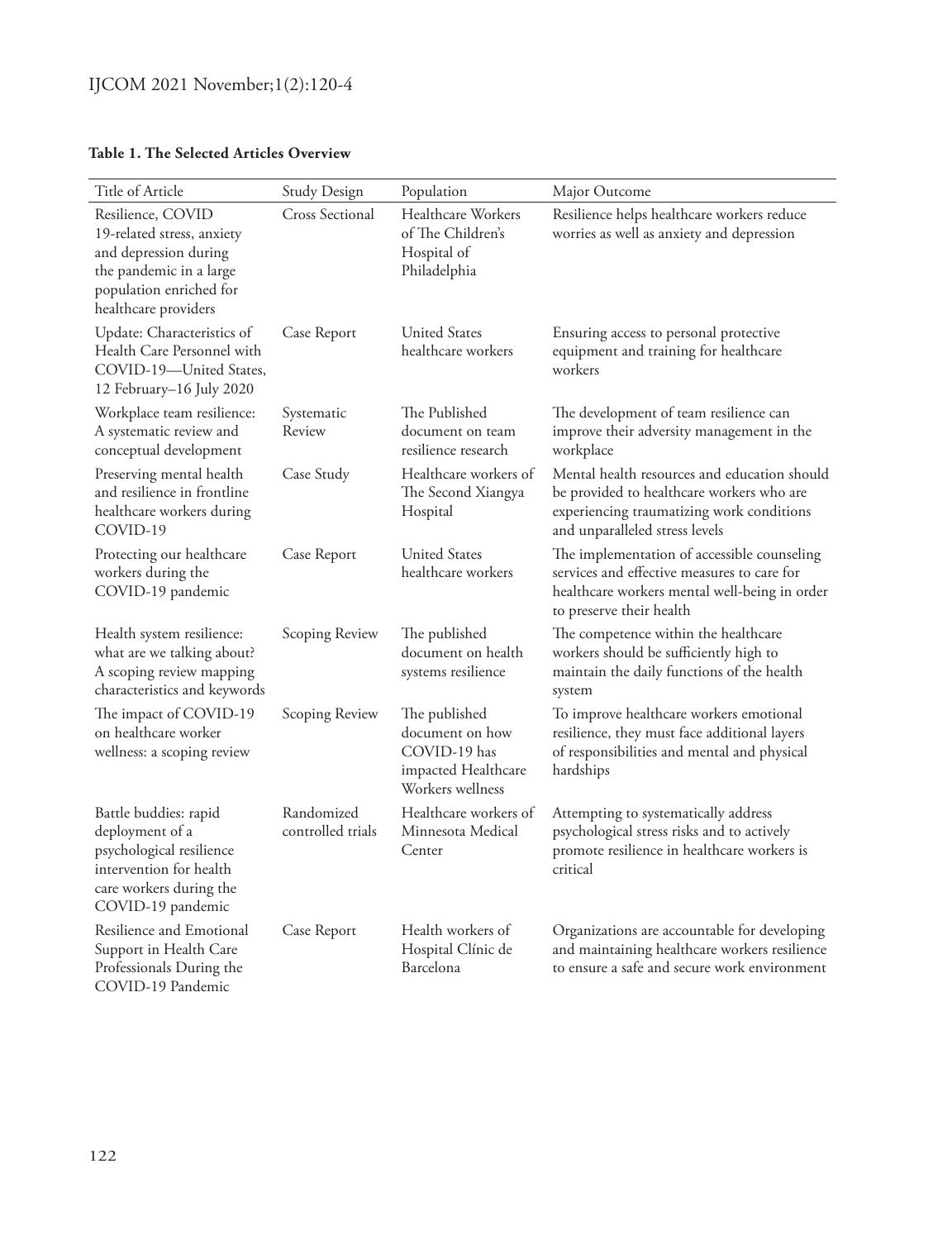#### **Table 1. The Selected Articles Overview**

| Title of Article                                                                                                                                       | <b>Study Design</b>             | Population                                                                                  | Major Outcome                                                                                                                                                            |
|--------------------------------------------------------------------------------------------------------------------------------------------------------|---------------------------------|---------------------------------------------------------------------------------------------|--------------------------------------------------------------------------------------------------------------------------------------------------------------------------|
| Resilience, COVID<br>19-related stress, anxiety<br>and depression during<br>the pandemic in a large<br>population enriched for<br>healthcare providers | <b>Cross Sectional</b>          | Healthcare Workers<br>of The Children's<br>Hospital of<br>Philadelphia                      | Resilience helps healthcare workers reduce<br>worries as well as anxiety and depression                                                                                  |
| Update: Characteristics of<br>Health Care Personnel with<br>COVID-19-United States,<br>12 February-16 July 2020                                        | Case Report                     | <b>United States</b><br>healthcare workers                                                  | Ensuring access to personal protective<br>equipment and training for healthcare<br>workers                                                                               |
| Workplace team resilience:<br>A systematic review and<br>conceptual development                                                                        | Systematic<br>Review            | The Published<br>document on team<br>resilience research                                    | The development of team resilience can<br>improve their adversity management in the<br>workplace                                                                         |
| Preserving mental health<br>and resilience in frontline<br>healthcare workers during<br>COVID-19                                                       | Case Study                      | Healthcare workers of<br>The Second Xiangya<br>Hospital                                     | Mental health resources and education should<br>be provided to healthcare workers who are<br>experiencing traumatizing work conditions<br>and unparalleled stress levels |
| Protecting our healthcare<br>workers during the<br>COVID-19 pandemic                                                                                   | Case Report                     | <b>United States</b><br>healthcare workers                                                  | The implementation of accessible counseling<br>services and effective measures to care for<br>healthcare workers mental well-being in order<br>to preserve their health  |
| Health system resilience:<br>what are we talking about?<br>A scoping review mapping<br>characteristics and keywords                                    | Scoping Review                  | The published<br>document on health<br>systems resilience                                   | The competence within the healthcare<br>workers should be sufficiently high to<br>maintain the daily functions of the health<br>system                                   |
| The impact of COVID-19<br>on healthcare worker<br>wellness: a scoping review                                                                           | Scoping Review                  | The published<br>document on how<br>COVID-19 has<br>impacted Healthcare<br>Workers wellness | To improve healthcare workers emotional<br>resilience, they must face additional layers<br>of responsibilities and mental and physical<br>hardships                      |
| Battle buddies: rapid<br>deployment of a<br>psychological resilience<br>intervention for health<br>care workers during the<br>COVID-19 pandemic        | Randomized<br>controlled trials | Healthcare workers of<br>Minnesota Medical<br>Center                                        | Attempting to systematically address<br>psychological stress risks and to actively<br>promote resilience in healthcare workers is<br>critical                            |
| Resilience and Emotional<br>Support in Health Care<br>Professionals During the<br>COVID-19 Pandemic                                                    | Case Report                     | Health workers of<br>Hospital Clínic de<br>Barcelona                                        | Organizations are accountable for developing<br>and maintaining healthcare workers resilience<br>to ensure a safe and secure work environment                            |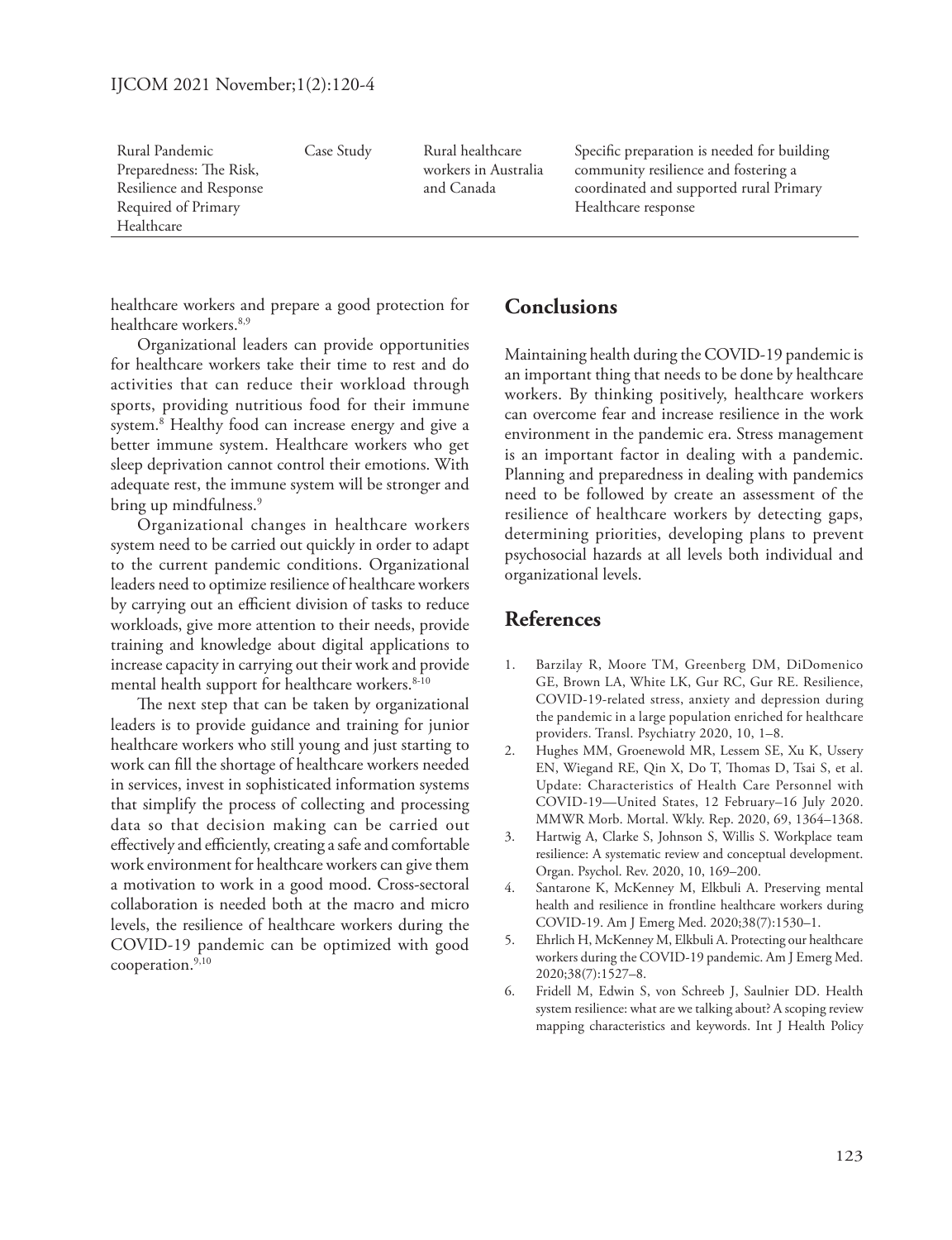| Rural Pandemic          | Case Study | Rural healthcare     | Specific preparation is needed for building |
|-------------------------|------------|----------------------|---------------------------------------------|
| Preparedness: The Risk, |            | workers in Australia | community resilience and fostering a        |
| Resilience and Response |            | and Canada           | coordinated and supported rural Primary     |
| Required of Primary     |            |                      | Healthcare response                         |
| Healthcare              |            |                      |                                             |

healthcare workers and prepare a good protection for healthcare workers.<sup>8,9</sup>

Organizational leaders can provide opportunities for healthcare workers take their time to rest and do activities that can reduce their workload through sports, providing nutritious food for their immune system.8 Healthy food can increase energy and give a better immune system. Healthcare workers who get sleep deprivation cannot control their emotions. With adequate rest, the immune system will be stronger and bring up mindfulness.<sup>9</sup>

Organizational changes in healthcare workers system need to be carried out quickly in order to adapt to the current pandemic conditions. Organizational leaders need to optimize resilience of healthcare workers by carrying out an efficient division of tasks to reduce workloads, give more attention to their needs, provide training and knowledge about digital applications to increase capacity in carrying out their work and provide mental health support for healthcare workers.<sup>8-10</sup>

The next step that can be taken by organizational leaders is to provide guidance and training for junior healthcare workers who still young and just starting to work can fill the shortage of healthcare workers needed in services, invest in sophisticated information systems that simplify the process of collecting and processing data so that decision making can be carried out effectively and efficiently, creating a safe and comfortable work environment for healthcare workers can give them a motivation to work in a good mood. Cross-sectoral collaboration is needed both at the macro and micro levels, the resilience of healthcare workers during the COVID-19 pandemic can be optimized with good cooperation. $9,10$ 

## **Conclusions**

Maintaining health during the COVID-19 pandemic is an important thing that needs to be done by healthcare workers. By thinking positively, healthcare workers can overcome fear and increase resilience in the work environment in the pandemic era. Stress management is an important factor in dealing with a pandemic. Planning and preparedness in dealing with pandemics need to be followed by create an assessment of the resilience of healthcare workers by detecting gaps, determining priorities, developing plans to prevent psychosocial hazards at all levels both individual and organizational levels.

### **References**

- 1. Barzilay R, Moore TM, Greenberg DM, DiDomenico GE, Brown LA, White LK, Gur RC, Gur RE. Resilience, COVID-19-related stress, anxiety and depression during the pandemic in a large population enriched for healthcare providers. Transl. Psychiatry 2020, 10, 1–8.
- 2. Hughes MM, Groenewold MR, Lessem SE, Xu K, Ussery EN, Wiegand RE, Qin X, Do T, Thomas D, Tsai S, et al. Update: Characteristics of Health Care Personnel with COVID-19—United States, 12 February–16 July 2020. MMWR Morb. Mortal. Wkly. Rep. 2020, 69, 1364–1368.
- 3. Hartwig A, Clarke S, Johnson S, Willis S. Workplace team resilience: A systematic review and conceptual development. Organ. Psychol. Rev. 2020, 10, 169–200.
- 4. Santarone K, McKenney M, Elkbuli A. Preserving mental health and resilience in frontline healthcare workers during COVID-19. Am J Emerg Med. 2020;38(7):1530–1.
- 5. Ehrlich H, McKenney M, Elkbuli A. Protecting our healthcare workers during the COVID-19 pandemic. Am J Emerg Med. 2020;38(7):1527–8.
- 6. Fridell M, Edwin S, von Schreeb J, Saulnier DD. Health system resilience: what are we talking about? A scoping review mapping characteristics and keywords. Int J Health Policy